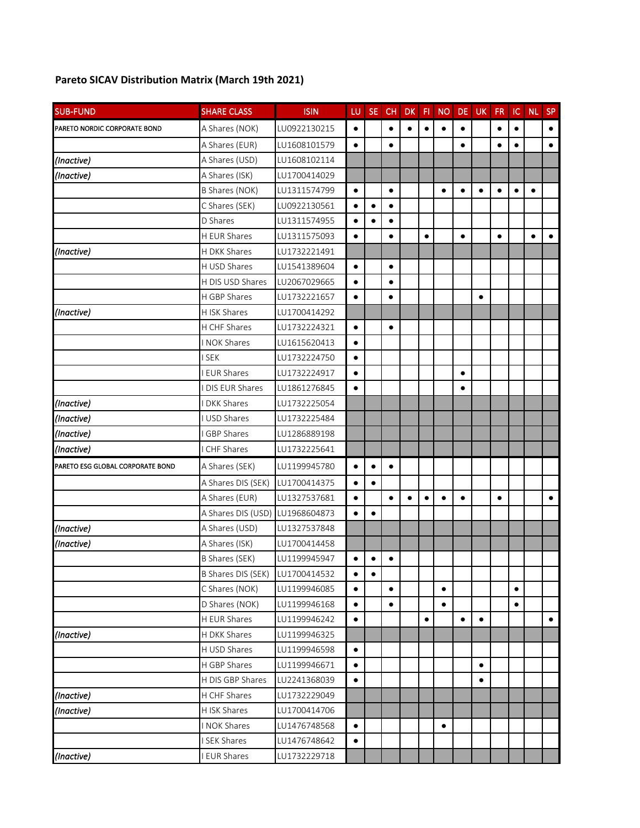## **Pareto SICAV Distribution Matrix (March 19th 2021)**

| <b>SUB-FUND</b>                  | <b>SHARE CLASS</b>  | <b>ISIN</b>  | LU        | <b>SE</b> | CH        | <b>DK</b> | F1        | <b>NO</b> | DE        | UK        | FR        | $\sf IC$  | <b>NL</b> | <b>SP</b> |
|----------------------------------|---------------------|--------------|-----------|-----------|-----------|-----------|-----------|-----------|-----------|-----------|-----------|-----------|-----------|-----------|
| PARETO NORDIC CORPORATE BOND     | A Shares (NOK)      | LU0922130215 | $\bullet$ |           | $\bullet$ | $\bullet$ | $\bullet$ | $\bullet$ | $\bullet$ |           | $\bullet$ | $\bullet$ |           | $\bullet$ |
|                                  | A Shares (EUR)      | LU1608101579 | $\bullet$ |           | $\bullet$ |           |           |           | $\bullet$ |           | $\bullet$ | $\bullet$ |           | $\bullet$ |
| (Inactive)                       | A Shares (USD)      | LU1608102114 |           |           |           |           |           |           |           |           |           |           |           |           |
| (Inactive)                       | A Shares (ISK)      | LU1700414029 |           |           |           |           |           |           |           |           |           |           |           |           |
|                                  | B Shares (NOK)      | LU1311574799 | $\bullet$ |           | $\bullet$ |           |           | $\bullet$ | $\bullet$ | $\bullet$ | $\bullet$ | $\bullet$ | $\bullet$ |           |
|                                  | C Shares (SEK)      | LU0922130561 | $\bullet$ | $\bullet$ | $\bullet$ |           |           |           |           |           |           |           |           |           |
|                                  | D Shares            | LU1311574955 | $\bullet$ | $\bullet$ | $\bullet$ |           |           |           |           |           |           |           |           |           |
|                                  | H EUR Shares        | LU1311575093 | $\bullet$ |           | $\bullet$ |           | $\bullet$ |           | $\bullet$ |           | $\bullet$ |           | $\bullet$ | $\bullet$ |
| (Inactive)                       | <b>H DKK Shares</b> | LU1732221491 |           |           |           |           |           |           |           |           |           |           |           |           |
|                                  | H USD Shares        | LU1541389604 | $\bullet$ |           | $\bullet$ |           |           |           |           |           |           |           |           |           |
|                                  | H DIS USD Shares    | LU2067029665 | $\bullet$ |           | $\bullet$ |           |           |           |           |           |           |           |           |           |
|                                  | H GBP Shares        | LU1732221657 | $\bullet$ |           | $\bullet$ |           |           |           |           | $\bullet$ |           |           |           |           |
| (Inactive)                       | H ISK Shares        | LU1700414292 |           |           |           |           |           |           |           |           |           |           |           |           |
|                                  | H CHF Shares        | LU1732224321 | $\bullet$ |           | $\bullet$ |           |           |           |           |           |           |           |           |           |
|                                  | I NOK Shares        | LU1615620413 | $\bullet$ |           |           |           |           |           |           |           |           |           |           |           |
|                                  | <b>ISEK</b>         | LU1732224750 | $\bullet$ |           |           |           |           |           |           |           |           |           |           |           |
|                                  | <b>EUR Shares</b>   | LU1732224917 | $\bullet$ |           |           |           |           |           | $\bullet$ |           |           |           |           |           |
|                                  | I DIS EUR Shares    | LU1861276845 | $\bullet$ |           |           |           |           |           | $\bullet$ |           |           |           |           |           |
| (Inactive)                       | <b>DKK Shares</b>   | LU1732225054 |           |           |           |           |           |           |           |           |           |           |           |           |
| (Inactive)                       | <b>USD Shares</b>   | LU1732225484 |           |           |           |           |           |           |           |           |           |           |           |           |
| (Inactive)                       | GBP Shares          | LU1286889198 |           |           |           |           |           |           |           |           |           |           |           |           |
| (Inactive)                       | <b>CHF Shares</b>   | LU1732225641 |           |           |           |           |           |           |           |           |           |           |           |           |
| PARETO ESG GLOBAL CORPORATE BOND | A Shares (SEK)      | LU1199945780 | $\bullet$ | $\bullet$ | $\bullet$ |           |           |           |           |           |           |           |           |           |
|                                  | A Shares DIS (SEK)  | LU1700414375 | $\bullet$ | $\bullet$ |           |           |           |           |           |           |           |           |           |           |
|                                  | A Shares (EUR)      | LU1327537681 | $\bullet$ |           | $\bullet$ | $\bullet$ | $\bullet$ | $\bullet$ | $\bullet$ |           | $\bullet$ |           |           | $\bullet$ |
|                                  | A Shares DIS (USD)  | LU1968604873 | $\bullet$ | $\bullet$ |           |           |           |           |           |           |           |           |           |           |
| (Inactive)                       | A Shares (USD)      | LU1327537848 |           |           |           |           |           |           |           |           |           |           |           |           |
| (Inactive)                       | A Shares (ISK)      | LU1700414458 |           |           |           |           |           |           |           |           |           |           |           |           |
|                                  | B Shares (SEK)      | LU1199945947 | $\bullet$ | $\bullet$ | $\bullet$ |           |           |           |           |           |           |           |           |           |
|                                  | B Shares DIS (SEK)  | LU1700414532 | $\bullet$ | $\bullet$ |           |           |           |           |           |           |           |           |           |           |
|                                  | C Shares (NOK)      | LU1199946085 | $\bullet$ |           | $\bullet$ |           |           | $\bullet$ |           |           |           | $\bullet$ |           |           |
|                                  | D Shares (NOK)      | LU1199946168 | $\bullet$ |           | $\bullet$ |           |           | $\bullet$ |           |           |           | $\bullet$ |           |           |
|                                  | H EUR Shares        | LU1199946242 | $\bullet$ |           |           |           | $\bullet$ |           | $\bullet$ | $\bullet$ |           |           |           | $\bullet$ |
| (Inactive)                       | H DKK Shares        | LU1199946325 |           |           |           |           |           |           |           |           |           |           |           |           |
|                                  | H USD Shares        | LU1199946598 | $\bullet$ |           |           |           |           |           |           |           |           |           |           |           |
|                                  | H GBP Shares        | LU1199946671 | $\bullet$ |           |           |           |           |           |           | $\bullet$ |           |           |           |           |
|                                  | H DIS GBP Shares    | LU2241368039 | $\bullet$ |           |           |           |           |           |           | $\bullet$ |           |           |           |           |
| (Inactive)                       | H CHF Shares        | LU1732229049 |           |           |           |           |           |           |           |           |           |           |           |           |
| (Inactive)                       | H ISK Shares        | LU1700414706 |           |           |           |           |           |           |           |           |           |           |           |           |
|                                  | I NOK Shares        | LU1476748568 | $\bullet$ |           |           |           |           | ٠         |           |           |           |           |           |           |
|                                  | I SEK Shares        | LU1476748642 | $\bullet$ |           |           |           |           |           |           |           |           |           |           |           |
| (Inactive)                       | I EUR Shares        | LU1732229718 |           |           |           |           |           |           |           |           |           |           |           |           |